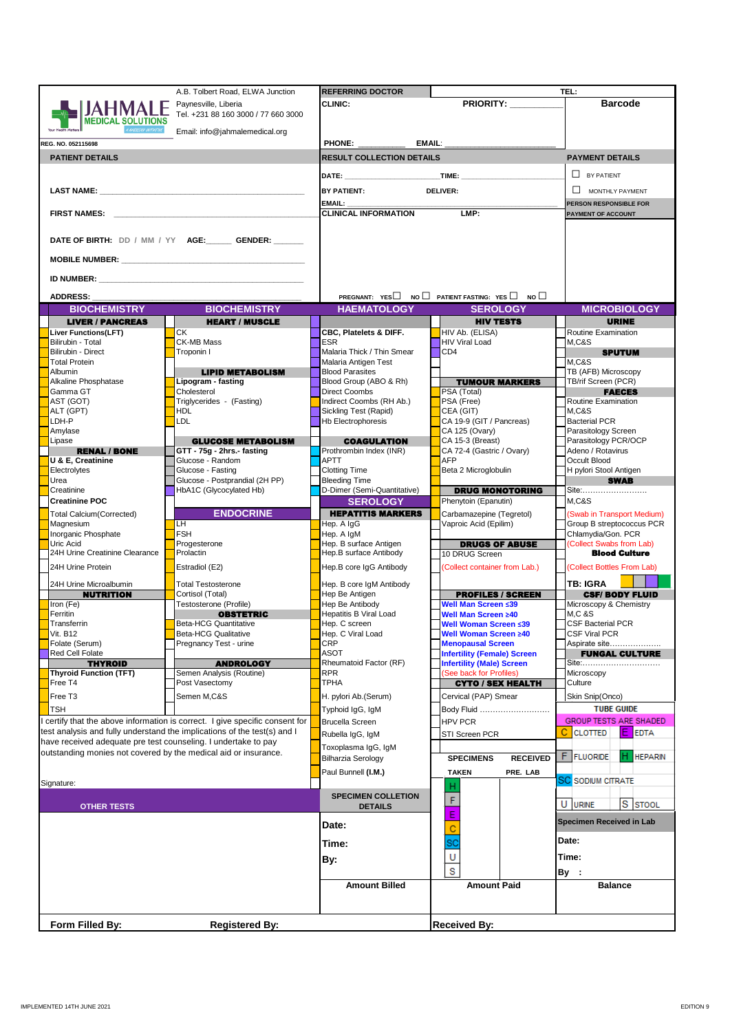|                                                                                                                                                                                                                                     | A.B. Tolbert Road, ELWA Junction                                                                                                                                                                                                    | <b>REFERRING DOCTOR</b>                           |                                                                      | TEL:                                  |
|-------------------------------------------------------------------------------------------------------------------------------------------------------------------------------------------------------------------------------------|-------------------------------------------------------------------------------------------------------------------------------------------------------------------------------------------------------------------------------------|---------------------------------------------------|----------------------------------------------------------------------|---------------------------------------|
|                                                                                                                                                                                                                                     | Paynesville, Liberia                                                                                                                                                                                                                | <b>CLINIC:</b>                                    | <b>PRIORITY:</b>                                                     | <b>Barcode</b>                        |
|                                                                                                                                                                                                                                     | Tel. +231 88 160 3000 / 77 660 3000                                                                                                                                                                                                 |                                                   |                                                                      |                                       |
| <b>MEDICAL SOLUTIONS</b>                                                                                                                                                                                                            |                                                                                                                                                                                                                                     |                                                   |                                                                      |                                       |
|                                                                                                                                                                                                                                     | Email: info@jahmalemedical.org                                                                                                                                                                                                      |                                                   |                                                                      |                                       |
| REG. NO. 052115698                                                                                                                                                                                                                  |                                                                                                                                                                                                                                     | <b>PHONE:</b>                                     |                                                                      |                                       |
| <b>PATIENT DETAILS</b>                                                                                                                                                                                                              |                                                                                                                                                                                                                                     | <b>RESULT COLLECTION DETAILS</b>                  |                                                                      | <b>PAYMENT DETAILS</b>                |
|                                                                                                                                                                                                                                     |                                                                                                                                                                                                                                     |                                                   |                                                                      | $\Box$ BY PATIENT                     |
|                                                                                                                                                                                                                                     |                                                                                                                                                                                                                                     |                                                   |                                                                      |                                       |
|                                                                                                                                                                                                                                     |                                                                                                                                                                                                                                     | <b>BY PATIENT:</b>                                | <b>DELIVER:</b>                                                      | MONTHLY PAYMENT                       |
|                                                                                                                                                                                                                                     |                                                                                                                                                                                                                                     | <b>EMAIL:</b>                                     |                                                                      | <b>PERSON RESPONSIBLE FOR</b>         |
| <b>FIRST NAMES:</b> The contract of the contract of the contract of the contract of the contract of the contract of the contract of the contract of the contract of the contract of the contract of the contract of the contract of |                                                                                                                                                                                                                                     | <b>CLINICAL INFORMATION</b>                       | LMP:                                                                 | <b>PAYMENT OF ACCOUNT</b>             |
|                                                                                                                                                                                                                                     |                                                                                                                                                                                                                                     |                                                   |                                                                      |                                       |
|                                                                                                                                                                                                                                     | DATE OF BIRTH: DD / MM / YY AGE: GENDER: ____                                                                                                                                                                                       |                                                   |                                                                      |                                       |
|                                                                                                                                                                                                                                     |                                                                                                                                                                                                                                     |                                                   |                                                                      |                                       |
|                                                                                                                                                                                                                                     |                                                                                                                                                                                                                                     |                                                   |                                                                      |                                       |
|                                                                                                                                                                                                                                     |                                                                                                                                                                                                                                     |                                                   |                                                                      |                                       |
|                                                                                                                                                                                                                                     | <b>ID NUMBER:</b> The state of the state of the state of the state of the state of the state of the state of the state of the state of the state of the state of the state of the state of the state of the state of the state of t |                                                   |                                                                      |                                       |
| <b>ADDRESS:</b>                                                                                                                                                                                                                     |                                                                                                                                                                                                                                     |                                                   | PREGNANT: $YES \Box$ NO $\Box$ PATIENT FASTING: $YES \Box$ NO $\Box$ |                                       |
| <b>BIOCHEMISTRY</b>                                                                                                                                                                                                                 | <b>BIOCHEMISTRY</b>                                                                                                                                                                                                                 | <b>HAEMATOLOGY</b>                                | <b>SEROLOGY</b>                                                      | <b>MICROBIOLOGY</b>                   |
| <b>LIVER / PANCREAS</b>                                                                                                                                                                                                             | <b>HEART / MUSCLE</b>                                                                                                                                                                                                               |                                                   | <b>HIV TESTS</b>                                                     | <b>URINE</b>                          |
| Liver Functions(LFT)                                                                                                                                                                                                                | CK                                                                                                                                                                                                                                  | CBC, Platelets & DIFF.                            | HIV Ab. (ELISA)                                                      | Routine Examination                   |
| Bilirubin - Total                                                                                                                                                                                                                   | CK-MB Mass                                                                                                                                                                                                                          | <b>ESR</b>                                        | <b>HIV Viral Load</b>                                                | <b>M.C&amp;S</b>                      |
| Bilirubin - Direct                                                                                                                                                                                                                  | Troponin I                                                                                                                                                                                                                          | Malaria Thick / Thin Smear                        | CD <sub>4</sub>                                                      | <b>SPUTUM</b>                         |
| <b>Total Protein</b>                                                                                                                                                                                                                |                                                                                                                                                                                                                                     | Malaria Antigen Test                              |                                                                      | M,C&S                                 |
| Albumin                                                                                                                                                                                                                             | <b>LIPID METABOLISM</b>                                                                                                                                                                                                             | <b>Blood Parasites</b>                            |                                                                      | TB (AFB) Microscopy                   |
| Alkaline Phosphatase                                                                                                                                                                                                                | Lipogram - fasting                                                                                                                                                                                                                  | Blood Group (ABO & Rh)                            | <b>TUMOUR MARKERS</b>                                                | TB/rif Screen (PCR)                   |
| Gamma GT                                                                                                                                                                                                                            | Cholesterol                                                                                                                                                                                                                         | Direct Coombs                                     | PSA (Total)<br>PSA (Free)                                            | <b>FAECES</b><br>Routine Examination  |
| AST (GOT)<br>ALT (GPT)                                                                                                                                                                                                              | Triglycerides - (Fasting)<br>HDL                                                                                                                                                                                                    | Indirect Coombs (RH Ab.)<br>Sickling Test (Rapid) | CEA (GIT)                                                            | <b>M.C&amp;S</b>                      |
| LDH-P                                                                                                                                                                                                                               | LDL                                                                                                                                                                                                                                 | <b>Hb Electrophoresis</b>                         | CA 19-9 (GIT / Pancreas)                                             | <b>Bacterial PCR</b>                  |
| Amylase                                                                                                                                                                                                                             |                                                                                                                                                                                                                                     |                                                   | CA 125 (Ovary)                                                       | Parasitology Screen                   |
| Lipase                                                                                                                                                                                                                              | <b>GLUCOSE METABOLISM</b>                                                                                                                                                                                                           | <b>COAGULATION</b>                                | CA 15-3 (Breast)                                                     | Parasitology PCR/OCP                  |
| <b>RENAL / BONE</b>                                                                                                                                                                                                                 | GTT - 75g - 2hrs.- fasting                                                                                                                                                                                                          | Prothrombin Index (INR)                           | CA 72-4 (Gastric / Ovary)                                            | Adeno / Rotavirus                     |
| U & E, Creatinine                                                                                                                                                                                                                   | Glucose - Random                                                                                                                                                                                                                    | APTT                                              | <b>AFP</b>                                                           | Occult Blood                          |
| Electrolytes<br>Urea                                                                                                                                                                                                                | Glucose - Fasting<br>Glucose - Postprandial (2H PP)                                                                                                                                                                                 | <b>Clotting Time</b><br><b>Bleeding Time</b>      | Beta 2 Microglobulin                                                 | H pylori Stool Antigen<br><b>SWAB</b> |
| Creatinine                                                                                                                                                                                                                          | HbA1C (Glycocylated Hb)                                                                                                                                                                                                             | D-Dimer (Semi-Quantitative)                       | <b>DRUG MONOTORING</b>                                               | Site:                                 |
| <b>Creatinine POC</b>                                                                                                                                                                                                               |                                                                                                                                                                                                                                     | <b>SEROLOGY</b>                                   | Phenytoin (Epanutin)                                                 | M.C&S                                 |
| <b>Total Calcium</b> (Corrected)                                                                                                                                                                                                    | <b>ENDOCRINE</b>                                                                                                                                                                                                                    | <b>HEPATITIS MARKERS</b>                          | Carbamazepine (Tegretol)                                             | (Swab in Transport Medium)            |
| Magnesium                                                                                                                                                                                                                           | LН                                                                                                                                                                                                                                  | Hep. A IgG                                        | Vaproic Acid (Epilim)                                                | Group B streptococcus PCR             |
| Inorganic Phosphate                                                                                                                                                                                                                 | <b>FSH</b>                                                                                                                                                                                                                          | Hep. A IgM                                        |                                                                      | Chlamydia/Gon. PCR                    |
| Uric Acid                                                                                                                                                                                                                           | Progesterone                                                                                                                                                                                                                        | Hep. B surface Antigen                            | <b>DRUGS OF ABUSE</b>                                                | (Collect Swabs from Lab)              |
| 24H Urine Creatinine Clearance                                                                                                                                                                                                      | Prolactin                                                                                                                                                                                                                           | Hep.B surface Antibody                            | 10 DRUG Screen                                                       | <b>Blood Culture</b>                  |
| 24H Urine Protein                                                                                                                                                                                                                   | Estradiol (E2)                                                                                                                                                                                                                      | Hep.B core IgG Antibody                           | (Collect container from Lab.)                                        | (Collect Bottles From Lab)            |
|                                                                                                                                                                                                                                     |                                                                                                                                                                                                                                     |                                                   |                                                                      |                                       |
| 24H Urine Microalbumin                                                                                                                                                                                                              | <b>Total Testosterone</b><br>Cortisol (Total)                                                                                                                                                                                       | Hep. B core IgM Antibody<br>Hep Be Antigen        |                                                                      | TB: IGRA<br><b>CSF/BODY FLUID</b>     |
| <b>NUTRITION</b><br>Iron (Fe)                                                                                                                                                                                                       | Testosterone (Profile)                                                                                                                                                                                                              | Hep Be Antibody                                   | <b>PROFILES / SCREEN</b><br>Well Man Screen ≤39                      | Microscopy & Chemistry                |
| Ferritin                                                                                                                                                                                                                            | <b>OBSTETRIC</b>                                                                                                                                                                                                                    | Hepatitis B Viral Load                            | Well Man Screen ≥40                                                  | <b>M,C &amp;S</b>                     |
| Transferrin                                                                                                                                                                                                                         | <b>Beta-HCG Quantitative</b>                                                                                                                                                                                                        | Hep. C screen                                     | Well Woman Screen ≤39                                                | <b>CSF Bacterial PCR</b>              |
| Vit. B12                                                                                                                                                                                                                            | <b>Beta-HCG Qualitative</b>                                                                                                                                                                                                         | Hep. C Viral Load                                 | Well Woman Screen ≥40                                                | <b>CSF Viral PCR</b>                  |
| Folate (Serum)                                                                                                                                                                                                                      | Pregnancy Test - urine                                                                                                                                                                                                              | CRP                                               | <b>Menopausal Screen</b>                                             | Aspirate site                         |
| Red Cell Folate                                                                                                                                                                                                                     |                                                                                                                                                                                                                                     | <b>ASOT</b>                                       | <b>Infertility (Female) Screen</b>                                   | <b>FUNGAL CULTURE</b>                 |
| <b>THYROID</b><br><b>Thyroid Function (TFT)</b>                                                                                                                                                                                     | <b>ANDROLOGY</b><br>Semen Analysis (Routine)                                                                                                                                                                                        | Rheumatoid Factor (RF)<br>RPR                     | <b>Infertility (Male) Screen</b><br>(See back for Profiles)          | Site:<br>Microscopy                   |
| Free T4                                                                                                                                                                                                                             | Post Vasectomy                                                                                                                                                                                                                      | <b>TPHA</b>                                       | <b>CYTO / SEX HEALTH</b>                                             | Culture                               |
| Free T3                                                                                                                                                                                                                             | Semen M,C&S                                                                                                                                                                                                                         | H. pylori Ab.(Serum)                              | Cervical (PAP) Smear                                                 | Skin Snip(Onco)                       |
|                                                                                                                                                                                                                                     |                                                                                                                                                                                                                                     |                                                   |                                                                      | <b>TUBE GUIDE</b>                     |
| <b>TSH</b>                                                                                                                                                                                                                          |                                                                                                                                                                                                                                     | Typhoid IgG, IgM                                  | Body Fluid                                                           |                                       |
|                                                                                                                                                                                                                                     | certify that the above information is correct. I give specific consent for                                                                                                                                                          | <b>Brucella Screen</b>                            | <b>HPV PCR</b>                                                       | <b>GROUP TESTS ARE SHADED</b>         |
| test analysis and fully understand the implications of the test(s) and I<br>have received adequate pre test counseling. I undertake to pay                                                                                          |                                                                                                                                                                                                                                     | Rubella IgG, IgM                                  | STI Screen PCR                                                       | c<br><b>E</b> EDTA<br><b>CLOTTED</b>  |
| outstanding monies not covered by the medical aid or insurance.                                                                                                                                                                     |                                                                                                                                                                                                                                     | Toxoplasma IgG, IgM                               |                                                                      |                                       |
|                                                                                                                                                                                                                                     |                                                                                                                                                                                                                                     | <b>Bilharzia Serology</b>                         | <b>RECEIVED</b><br><b>SPECIMENS</b>                                  | F FLUORIDE<br><b>HEPARIN</b>          |
|                                                                                                                                                                                                                                     |                                                                                                                                                                                                                                     | Paul Bunnell (I.M.)                               | <b>TAKEN</b><br>PRE. LAB                                             |                                       |
| Signature:                                                                                                                                                                                                                          |                                                                                                                                                                                                                                     |                                                   | н                                                                    | <b>SC SODIUM CITRATE</b>              |
|                                                                                                                                                                                                                                     |                                                                                                                                                                                                                                     | <b>SPECIMEN COLLETION</b>                         |                                                                      |                                       |
| <b>OTHER TESTS</b>                                                                                                                                                                                                                  |                                                                                                                                                                                                                                     | <b>DETAILS</b>                                    | F                                                                    | S STOOL<br>U<br><b>URINE</b>          |
|                                                                                                                                                                                                                                     |                                                                                                                                                                                                                                     |                                                   | Ε                                                                    |                                       |
|                                                                                                                                                                                                                                     |                                                                                                                                                                                                                                     | Date:                                             |                                                                      | Specimen Received in Lab              |
|                                                                                                                                                                                                                                     |                                                                                                                                                                                                                                     |                                                   | SC                                                                   | Date:                                 |
|                                                                                                                                                                                                                                     |                                                                                                                                                                                                                                     | Time:                                             |                                                                      |                                       |
|                                                                                                                                                                                                                                     |                                                                                                                                                                                                                                     | By:                                               | U                                                                    | Time:                                 |
|                                                                                                                                                                                                                                     |                                                                                                                                                                                                                                     |                                                   | S                                                                    | By :                                  |
|                                                                                                                                                                                                                                     |                                                                                                                                                                                                                                     | <b>Amount Billed</b>                              | <b>Amount Paid</b>                                                   | <b>Balance</b>                        |
|                                                                                                                                                                                                                                     |                                                                                                                                                                                                                                     |                                                   |                                                                      |                                       |
|                                                                                                                                                                                                                                     |                                                                                                                                                                                                                                     |                                                   |                                                                      |                                       |
|                                                                                                                                                                                                                                     |                                                                                                                                                                                                                                     |                                                   |                                                                      |                                       |
| Form Filled By:<br><b>Registered By:</b>                                                                                                                                                                                            |                                                                                                                                                                                                                                     |                                                   | <b>Received By:</b>                                                  |                                       |